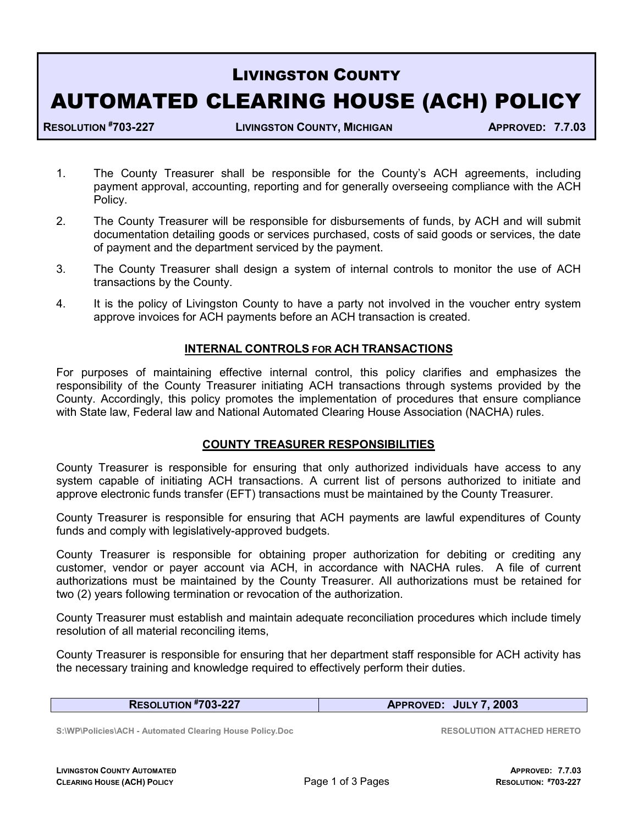# LIVINGSTON COUNTY AUTOMATED CLEARING HOUSE (ACH) POLICY

RESOLUTION #703-227 LIVINGSTON COUNTY, MICHIGAN APPROVED: 7.7.03

- 1. The County Treasurer shall be responsible for the County's ACH agreements, including payment approval, accounting, reporting and for generally overseeing compliance with the ACH Policy.
- 2. The County Treasurer will be responsible for disbursements of funds, by ACH and will submit documentation detailing goods or services purchased, costs of said goods or services, the date of payment and the department serviced by the payment.
- 3. The County Treasurer shall design a system of internal controls to monitor the use of ACH transactions by the County.
- 4. It is the policy of Livingston County to have a party not involved in the voucher entry system approve invoices for ACH payments before an ACH transaction is created.

# INTERNAL CONTROLS FOR ACH TRANSACTIONS

For purposes of maintaining effective internal control, this policy clarifies and emphasizes the responsibility of the County Treasurer initiating ACH transactions through systems provided by the County. Accordingly, this policy promotes the implementation of procedures that ensure compliance with State law, Federal law and National Automated Clearing House Association (NACHA) rules.

## COUNTY TREASURER RESPONSIBILITIES

County Treasurer is responsible for ensuring that only authorized individuals have access to any system capable of initiating ACH transactions. A current list of persons authorized to initiate and approve electronic funds transfer (EFT) transactions must be maintained by the County Treasurer.

County Treasurer is responsible for ensuring that ACH payments are lawful expenditures of County funds and comply with legislatively-approved budgets.

County Treasurer is responsible for obtaining proper authorization for debiting or crediting any customer, vendor or payer account via ACH, in accordance with NACHA rules. A file of current authorizations must be maintained by the County Treasurer. All authorizations must be retained for two (2) years following termination or revocation of the authorization.

County Treasurer must establish and maintain adequate reconciliation procedures which include timely resolution of all material reconciling items,

County Treasurer is responsible for ensuring that her department staff responsible for ACH activity has the necessary training and knowledge required to effectively perform their duties.

RESOLUTION #703-227 APPROVED: JULY 7, 2003

S:\WP\Policies\ACH - Automated Clearing House Policy.Doc RESOLUTION ATTACHED HERETO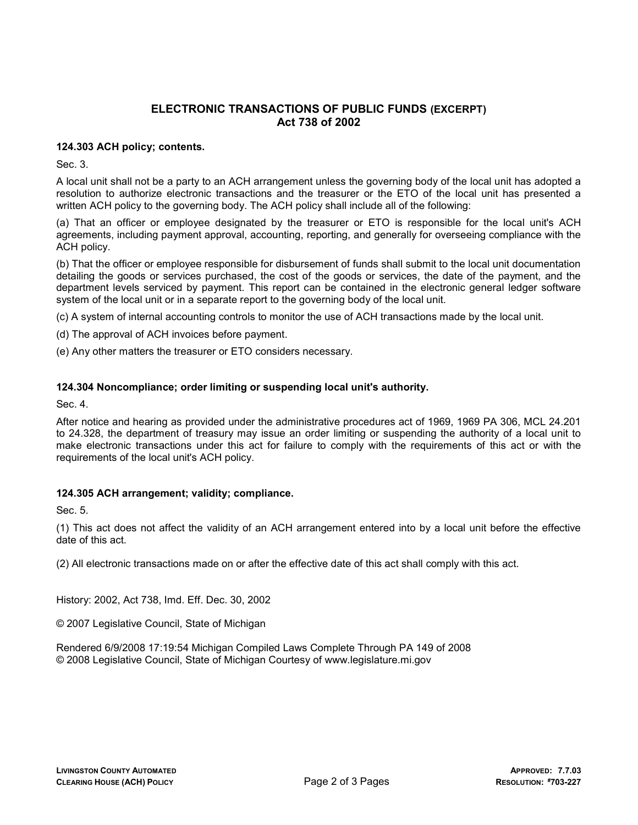## ELECTRONIC TRANSACTIONS OF PUBLIC FUNDS (EXCERPT) Act 738 of 2002

## 124.303 ACH policy; contents.

Sec. 3.

A local unit shall not be a party to an ACH arrangement unless the governing body of the local unit has adopted a resolution to authorize electronic transactions and the treasurer or the ETO of the local unit has presented a written ACH policy to the governing body. The ACH policy shall include all of the following:

(a) That an officer or employee designated by the treasurer or ETO is responsible for the local unit's ACH agreements, including payment approval, accounting, reporting, and generally for overseeing compliance with the ACH policy.

(b) That the officer or employee responsible for disbursement of funds shall submit to the local unit documentation detailing the goods or services purchased, the cost of the goods or services, the date of the payment, and the department levels serviced by payment. This report can be contained in the electronic general ledger software system of the local unit or in a separate report to the governing body of the local unit.

(c) A system of internal accounting controls to monitor the use of ACH transactions made by the local unit.

(d) The approval of ACH invoices before payment.

(e) Any other matters the treasurer or ETO considers necessary.

### 124.304 Noncompliance; order limiting or suspending local unit's authority.

Sec. 4.

After notice and hearing as provided under the administrative procedures act of 1969, 1969 PA 306, MCL 24.201 to 24.328, the department of treasury may issue an order limiting or suspending the authority of a local unit to make electronic transactions under this act for failure to comply with the requirements of this act or with the requirements of the local unit's ACH policy.

### 124.305 ACH arrangement; validity; compliance.

Sec. 5.

(1) This act does not affect the validity of an ACH arrangement entered into by a local unit before the effective date of this act.

(2) All electronic transactions made on or after the effective date of this act shall comply with this act.

History: 2002, Act 738, Imd. Eff. Dec. 30, 2002

© 2007 Legislative Council, State of Michigan

Rendered 6/9/2008 17:19:54 Michigan Compiled Laws Complete Through PA 149 of 2008 © 2008 Legislative Council, State of Michigan Courtesy of www.legislature.mi.gov